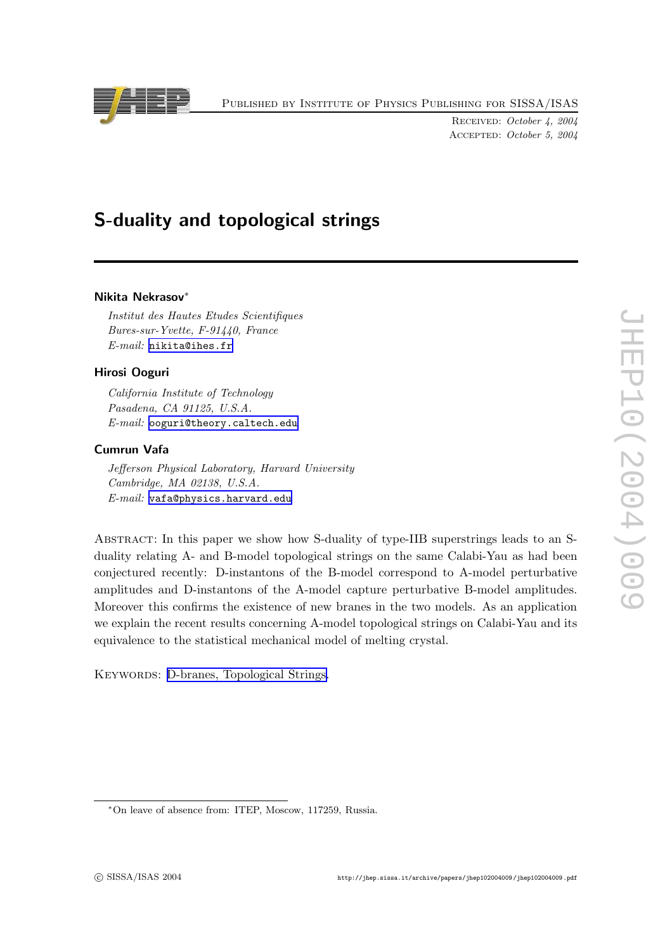Published by Institute of Physics Publishing for SISSA/ISAS

RECEIVED: October 4. 2004 Accepted: October 5, 2004

# S-dualit y and topological strings

# Nikita Nekrasov ∗

Institut des Hautes Etudes Scientifiques Bures-sur-Yvette, F-91440, Franc e E-mail: [nikita@ihes.fr](mailto:nikita@ihes.fr)

## Hirosi Ooguri

California Institute of Technology Pasadena, CA 91125, U.S.A.  $E$ - $mail:$  [ooguri@theory.caltech.ed](mailto:ooguri@theory.caltech.edu)u

## Cumrun Vafa

Jefferson Physical Laboratory, Harvard University Cambridge, MA 02138, U.S.A. E-mail: [vafa@physics.harvard.edu](mailto:vafa@physics.harvard.edu)

ABSTRACT: In this paper we show how S-duality of type-IIB superstrings leads to an Sduality relating A- and B-model topological strings on the same Calabi-Yau as had been conjectured recently: D-instantons of the B-model correspond to A-model perturbativ e amplitudes and D-instantons of the A-model capture perturbativ e B-model amplitudes. Moreover this confirms the existence of new branes in the two models. As an application w e explain the recen t results concerning A-model topological strings on Calabi-Yau and its equivalence to the statistical mechanical model of melting crystal.

KEYWORDS: D-branes, [Topological](http://jhep.sissa.it/stdsearch?keywords=D-branes+Topological_Strings) Strings.



<sup>∗</sup>On leav e of absence from: ITEP , Moscow, 117259, Russia.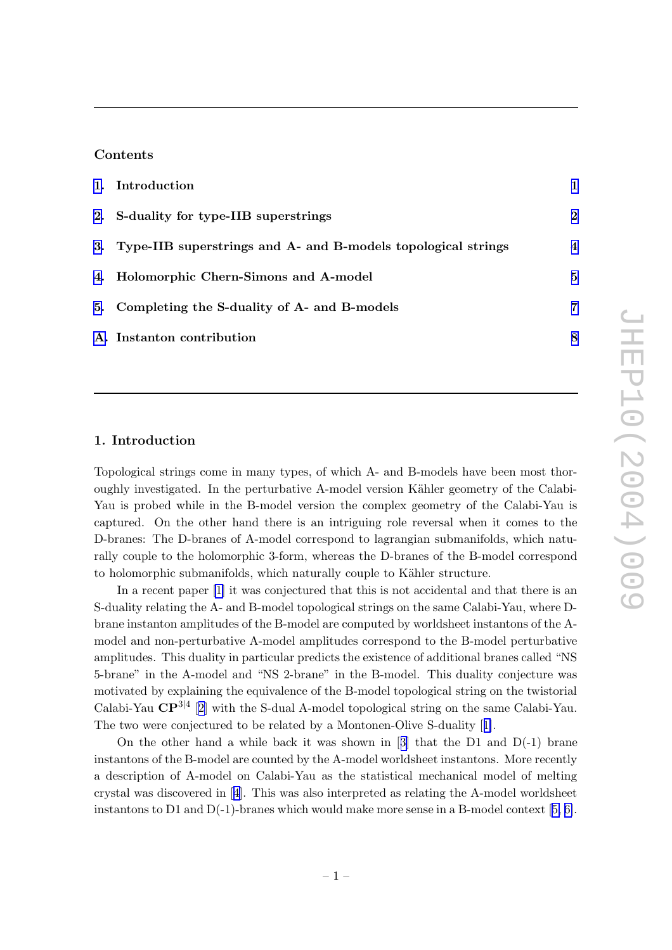# Contents

| 1. Introduction                                                  |                |
|------------------------------------------------------------------|----------------|
| 2. S-duality for type-IIB superstrings                           | $\bf{2}$       |
| 3. Type-IIB superstrings and A- and B-models topological strings | $\overline{4}$ |
| 4. Holomorphic Chern-Simons and A-model                          | 5              |
| 5. Completing the S-duality of A- and B-models                   | 7              |
| A. Instanton contribution                                        | 8              |

## 1. Introduction

Topological strings come in man y types, of whic h A- and B-models hav e been most thoroughly investigated. In the perturbative A-model version Kähler geometry of the Calabi-Yau is probed while in the B-model version the complex geometry of the Calabi-Yau is captured. On the other hand there is an intriguing role reversal when it comes to the D-branes: The D-branes of A-model correspond to lagrangian submanifolds, whic h naturally couple to the holomorphic 3-form, whereas the D-branes of the B-model correspond to holomorphic submanifolds, which naturally couple to Kähler structure.

In a recent paper [\[1](#page-9-0)] it was conjectured that this is not accidental and that there is an S-dualit y relating the A- and B-model topological strings on the same Calabi-Yau, where Dbrane instanton amplitudes of the B-model are computed by worldsheet instantons of the Amodel and non-perturbative A-model amplitudes correspond to the B-model perturbative amplitudes. This dualit y in particular predicts the existence of additional branes called "NS 5-brane" in the A-model and "NS 2-brane" in the B-model. This duality conjecture was motivated b y explaining the equivalence of the B-model topological string on the twistorial Calabi-Yau  $\mathbb{CP}^{3|4}$  [[2](#page-9-0)] with the S-dual A-model topological string on the same Calabi-Yau. The two were conjectured to be related by a Montonen-Olive S-duality [[1\]](#page-9-0).

On the other hand a while bac k it was shown in [[3](#page-9-0) ] that the D1 and D(-1) brane instantons of the B-model are counted b y the A-model worldsheet instantons. More recently a description of A-model on Calabi-Yau as the statistical mechanical model of melting crystal was disco vered in [[4](#page-9-0)]. This was also interpreted as relating the A-model worldsheet instantons to D1 and D(-1)-branes whic h would mak e more sense in a B-model context [[5](#page-9-0) , [6\]](#page-9-0).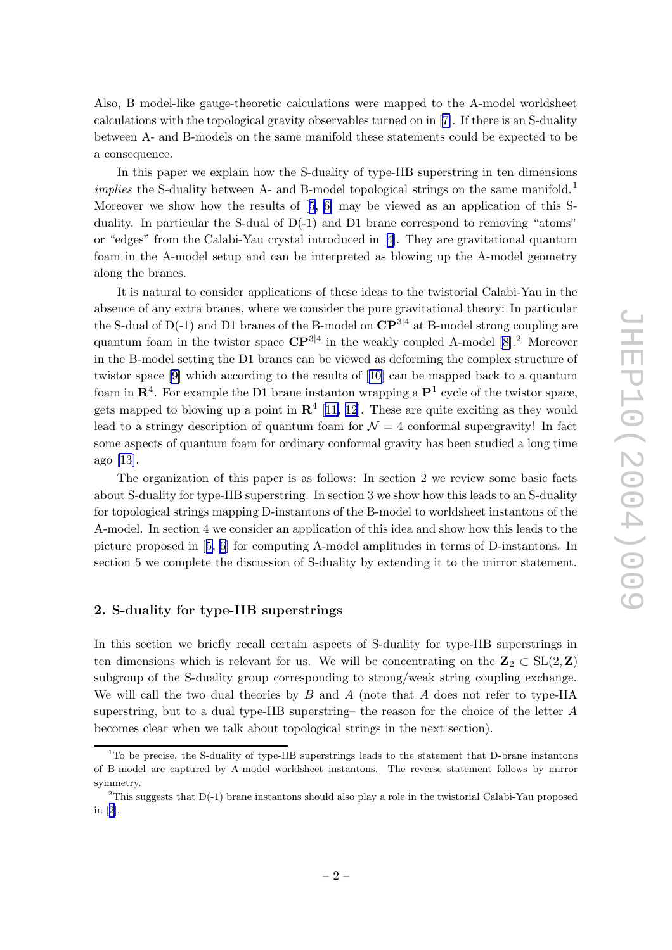<span id="page-2-0"></span>Also, B model-lik e gauge-theoretic calculations were mapped to the A-model worldsheet calculations with the topological gravity observables turned on in [[7\]](#page-9-0). If there is an S-duality between A- and B-models on the same manifold these statements could be expected to be a consequence.

In this paper w e explain ho w the S-dualit y of type-IIB superstring in ten dimensions implies the S-duality between A- and B-model topological strings on the same manifold.<sup>1</sup> Moreover we show how the results of  $[5, 6]$  $[5, 6]$  $[5, 6]$  $[5, 6]$  $[5, 6]$  may be viewed as an application of this Sduality. In particular the S-dual of  $D(-1)$  and D1 brane correspond to removing "atoms" or "edges" from the Calabi-Yau crystal introduced in [[4\]](#page-9-0). They are gravitational quantum foam in the A-model setup and can b e interpreted as blowing up the A-model geometry along the branes.

It is natural to consider applications of these ideas to the twistorial Calabi-Yau in the absence of an y extra branes, where w e consider the pure gravitational theory: In particular the S-dual of D(-1) and D1 branes of the B-model on  $\mathbb{CP}^{3|4}$  at B-model strong coupling are quantum foam in the twistor space  $\mathbb{CP}^{3|4}$  in the weakly coupled A-model [\[8\]](#page-9-0).<sup>2</sup> Moreover in the B-model setting the D1 branes can b e viewed as deforming the complex structure of twistor space [\[9](#page-9-0)] which according to the results of [[10](#page-9-0)] can be mapped back to a quantum foam in  $\mathbb{R}^4$ . For example the D1 brane instanton wrapping a  $\mathbb{P}^1$  cycle of the twistor space, gets mapped to blowing up a point in  $\mathbb{R}^4$  [[11](#page-9-0), [12](#page-9-0)]. These are quite exciting as they would lead to a stringy description of quantum foam for  $\mathcal{N}=4$  conformal supergravity! In fact some aspects of quantum foam for ordinary conformal gravity has been studied a long time ago [\[13](#page-9-0)].

The organization of this paper is as follows: In section 2 we review some basic facts about S-duality for type-IIB superstring. In section 3 we show how this leads to an S-duality for topological strings mapping D-instantons of the B-model to worldsheet instantons of the A-model. In section 4 w e consider an application of this idea and sho w ho w this leads to the picture proposed in [[5](#page-9-0) , [6](#page-9-0) ] for computing A-model amplitudes in terms of D-instantons. In section 5 we complete the discussion of S-duality by extending it to the mirror statement.

## 2. S-dualit y for type-IIB superstrings

In this section we briefly recall certain aspects of S-duality for type-IIB superstrings in ten dimensions which is relevant for us. We will be concentrating on the  $\mathbf{Z}_2 \subset SL(2,\mathbf{Z})$ subgroup of the S-dualit y group corresponding to strong/weak string coupling exchange. We will call the two dual theories by  $B$  and  $A$  (note that  $A$  does not refer to type-IIA superstring, but to a dual type-IIB superstring– the reason for the choice of the letter A becomes clear when w e talk about topological strings in the next section).

<sup>&</sup>lt;sup>1</sup>To be precise, the S-duality of type-IIB superstrings leads to the statement that D-brane instantons of B-model are captured b y A-model worldsheet instantons. The reverse statemen t follows b y mirror symmetry .

<sup>&</sup>lt;sup>2</sup>This suggests that  $D(-1)$  brane instantons should also play a role in the twistorial Calabi-Yau proposed in [[2](#page-9-0)].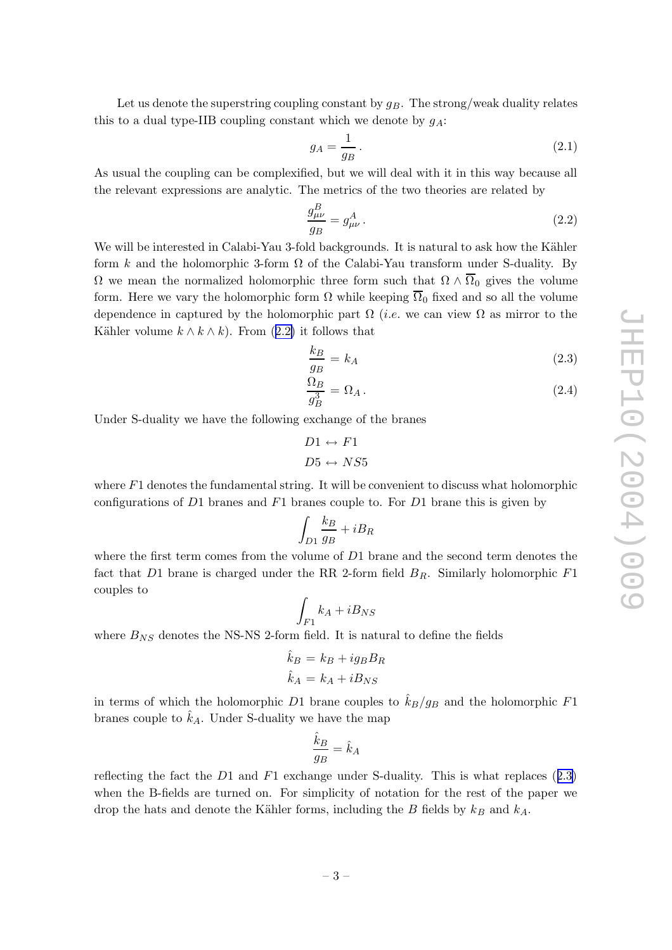<span id="page-3-0"></span>Let us denote the superstring coupling constant by  $g_B$ . The strong/weak duality relates this to a dual type-IIB coupling constant which we denote by  $g_A$ :

$$
g_A = \frac{1}{g_B} \,. \tag{2.1}
$$

As usual the coupling can b e complexified, but w e will deal with it in this w ay because all the relevant expressions are analytic. The metrics of the two theories are related by

$$
\frac{g_{\mu\nu}^B}{g_B} = g_{\mu\nu}^A \,. \tag{2.2}
$$

We will be interested in Calabi-Yau 3-fold backgrounds. It is natural to ask how the Kähler form k and the holomorphic 3-form  $\Omega$  of the Calabi-Yau transform under S-duality. By  $\Omega$  we mean the normalized holomorphic three form such that  $\Omega \wedge \Omega_0$  gives the volume form. Here we vary the holomorphic form  $\Omega$  while keeping  $\Omega_0$  fixed and so all the volume dependence in captured by the holomorphic part  $\Omega$  (*i.e.* we can view  $\Omega$  as mirror to the Kähler volume  $k \wedge k \wedge k$ . From  $(2.2)$  it follows that

$$
\frac{k_B}{g_B} = k_A \tag{2.3}
$$

$$
\frac{\Omega_B}{g_B^3} = \Omega_A \,. \tag{2.4}
$$

Under S-dualit y w e hav e the following exchange of the branes

$$
D1 \leftrightarrow F1
$$

$$
D5 \leftrightarrow NS5
$$

where  $F1$  denotes the fundamental string. It will be convenient to discuss what holomorphic configurations of D1 branes and F1 branes couple to. For D1 brane this is given by

$$
\int_{D1} \frac{k_B}{g_B} + iB_R
$$

where the first term comes from the volume of  $D1$  brane and the second term denotes the fact that D1 brane is charged under the RR 2-form field  $B_R$ . Similarly holomorphic  $F1$ couples to

$$
\int_{F1} k_A + iB_{NS}
$$

where  $B_{NS}$  denotes the NS-NS 2-form field. It is natural to define the fields

$$
\hat{k}_B = k_B + ig_B B_R
$$

$$
\hat{k}_A = k_A + i B_{NS}
$$

in terms of which the holomorphic D1 brane couples to  $\hat{k}_B/g_B$  and the holomorphic F1 branes couple to  $\hat{k}_A$ . Under S-duality we have the map

$$
\frac{\hat{k}_B}{g_B} = \hat{k}_A
$$

reflecting the fact the  $D1$  and  $F1$  exchange under S-duality. This is what replaces  $(2.3)$ when the B-fields are turned on. For simplicity of notation for the rest of the paper we drop the hats and denote the Kähler forms, including the  $B$  fields by  $k_B$  and  $k_A$ .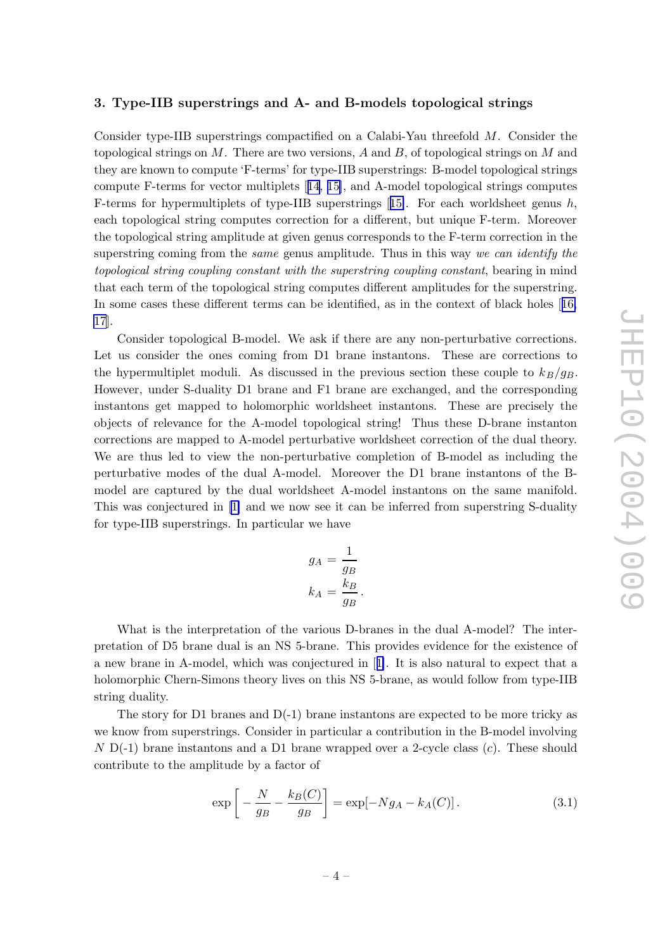## <span id="page-4-0"></span>3. Type-IIB superstrings and A- and B-models topological strings

Consider type-IIB superstrings compactified on a Calabi-Yau threefold M. Consider the topological strings on M. There are two versions, A and B, of topological strings on M and they are known to compute 'F-terms' for type-IIB superstrings: B-model topological strings compute F-terms for vector multiplets [[14](#page-10-0) , [15\]](#page-10-0), and A-model topological strings computes F-terms for hypermultiplets of type-IIB superstrings [[15\]](#page-10-0). For each worldsheet genus h, each topological string computes correction for a different, but unique F-term. Moreover the topological string amplitude at given genus corresponds to the F-term correction in the superstring coming from the *same* genus amplitude. Thus in this way we can identify the topological string coupling constant with the superstring coupling constant, bearing in mind that eac h term of the topological string computes differen t amplitudes for the superstring. In some cases these different terms can be identified, as in the context of black holes [[16](#page-10-0), [17](#page-10-0)].

Consider topological B-model. We ask if there are any non-perturbative corrections. Let us consider the ones coming from D1 brane instantons. These are corrections to the hypermultiplet moduli. As discussed in the previous section these couple to  $k_B/g_B$ . Ho wever, under S-dualit y D1 brane and F1 brane are exchanged, and the corresponding instantons get mapped to holomorphic worldsheet instantons. These are precisely the objects of relevance for the A-model topological string! Thus these D-brane instanton corrections are mapped to A-model perturbativ e worldsheet correction of the dual theory . We are thus led to view the non-perturbativ e completion of B-model as including the perturbativ e modes of the dual A-model. Moreo ver the D1 brane instantons of the Bmodel are captured by the dual worldsheet A-model instantons on the same manifold. This was conjectured in [\[1](#page-9-0)] and we now see it can be inferred from superstring S-duality for type-IIB superstrings. In particular w e hav e

$$
g_A = \frac{1}{g_B}
$$

$$
k_A = \frac{k_B}{g_B}.
$$

What is the interpretation of the various D-branes in the dual A-model? The interpretation of D5 brane dual is an NS 5-brane. This provides evidence for the existence of a new brane in A-model, which was conjectured in [[1\]](#page-9-0). It is also natural to expect that a holomorphic Chern-Simons theory lives on this NS 5-brane, as would follo w from type-IIB string dualit y .

The story for D1 branes and  $D(-1)$  brane instantons are expected to be more tricky as w e kno w from superstrings. Consider in particular a contribution in the B-model in volving N D(-1) brane instantons and a D1 brane wrapped over a 2-cycle class (c). These should contribute to the amplitude b y a factor of

$$
\exp\left[-\frac{N}{g_B} - \frac{k_B(C)}{g_B}\right] = \exp[-Ng_A - k_A(C)].\tag{3.1}
$$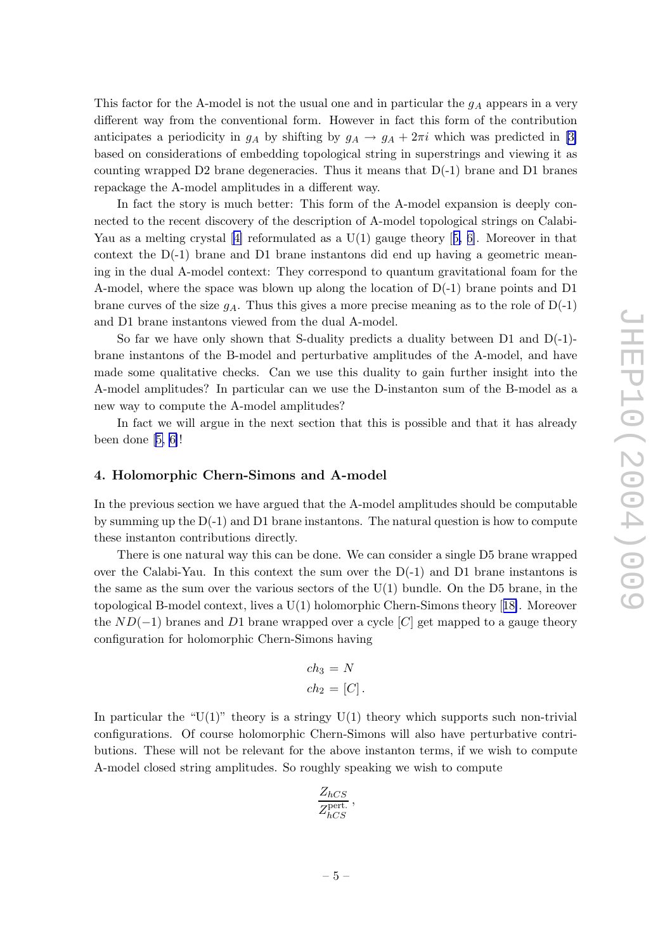<span id="page-5-0"></span>This factor for the A-model is not the usual one and in particular the  $g_A$  appears in a very differen t w ay from the con ventional form. Ho wever in fact this form of the contribution anticipates a periodicity in  $g_A$  by shifting by  $g_A \to g_A + 2\pi i$  which was predicted in [\[3](#page-9-0)] based on considerations of em bedding topological string in superstrings and viewing it as counting wrapped D2 brane degeneracies. Thus it means that  $D(-1)$  brane and D1 branes repackage the A-model amplitudes in a different way.

In fact the story is muc h better: This form of the A-model expansion is deeply connected to the recent discovery of the description of A-model topological strings on Calabi- Yau as a melting crystal [\[4\]](#page-9-0) reformulated as a  $U(1)$  gauge theory [[5,](#page-9-0) [6\]](#page-9-0). Moreover in that context the D(-1) brane and D1 brane instantons did end up having a geometric meaning in the dual A-model context: They correspond to quantum gravitational foam for the A-model, where the space was blown up along the location of D(-1) brane points and D1 brane curves of the size  $g_A$ . Thus this gives a more precise meaning as to the role of  $D(-1)$ and D1 brane instantons viewed from the dual A-model.

So far we have only shown that S-duality predicts a duality between  $D1$  and  $D(-1)$ brane instantons of the B-model and perturbativ e amplitudes of the A-model, and hav e made some qualitative checks. Can we use this duality to gain further insight into the A-model amplitudes? In particular can w e use the D-instanton sum of the B-model as a new w ay to compute the A-model amplitudes?

In fact w e will argue in the next section that this is possible and that it has already been done [\[5](#page-9-0) , [6\]](#page-9-0)!

#### 4. Holomorphic Chern-Simons and A-model

In the previous section w e hav e argued that the A-model amplitudes should b e computable b y summing up the D(-1) and D1 brane instantons. The natural question is ho w to compute these instanton contributions directly .

There is one natural way this can be done. We can consider a single D5 brane wrapped o ver the Calabi-Yau. In this context the sum o ver the D(-1) and D1 brane instantons is the same as the sum over the various sectors of the  $U(1)$  bundle. On the D5 brane, in the topological B-model context, lives a U(1) holomorphic Chern-Simons theory [[18\]](#page-10-0). Moreover the  $ND(-1)$  branes and D1 brane wrapped over a cycle  $[C]$  get mapped to a gauge theory configuration for holomorphic Chern-Simons having

$$
ch_3 = N
$$
  

$$
ch_2 = [C].
$$

In particular the " $U(1)$ " theory is a stringy  $U(1)$  theory which supports such non-trivial configurations. Of course holomorphic Chern-Simons will also hav e perturbativ e contributions. These will not be relevant for the above instanton terms, if we wish to compute A-model closed string amplitudes. So roughly speaking w e wish to compute

$$
\frac{Z_{hCS}}{Z_{hCS}^{\text{pert.}}},
$$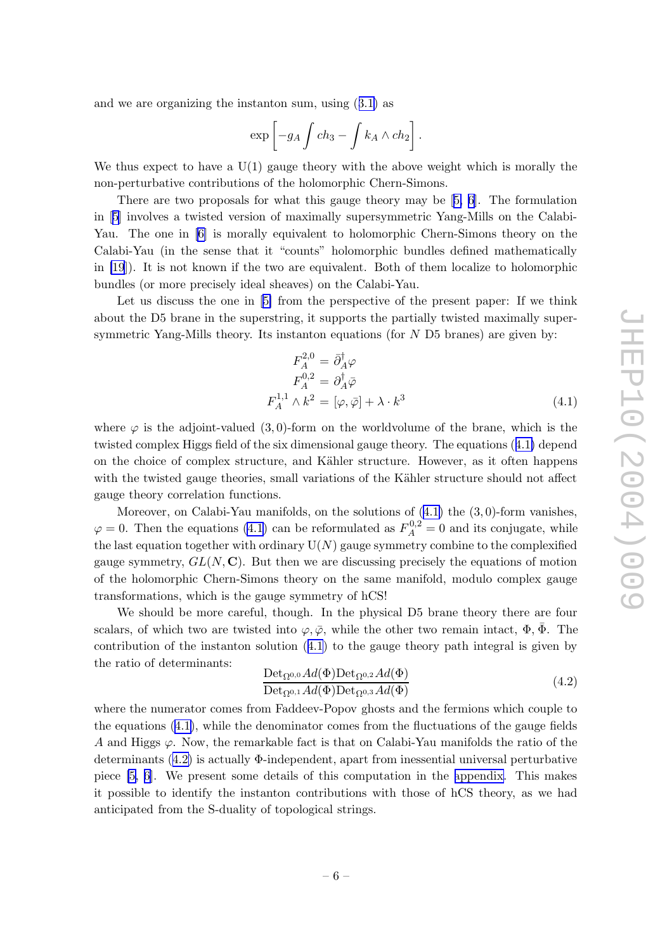and w e are organizing the instanton sum, using ([3.1](#page-4-0) ) as

$$
\exp\left[-g_A \int ch_3 - \int k_A \wedge ch_2\right].
$$

We thus expect to have a  $U(1)$  gauge theory with the above weight which is morally the non-perturbativ e contributions of the holomorphic Chern-Simons.

There are two proposals for what this gauge theory may be [[5](#page-9-0), [6\]](#page-9-0). The formulation in [[5](#page-9-0) ] in volves a twisted version of maximally supersymmetric Yang-Mills on the Calabi-Yau. The one in [\[6\]](#page-9-0) is morally equivalent to holomorphic Chern-Simons theory on the Calabi-Yau (in the sense that it "counts" holomorphic bundles defined mathematically in [\[19](#page-10-0)]). It is not known if the t w o are equivalent. Both of them localize to holomorphic bundles (or more precisely ideal sheaves) on the Calabi-Yau.

Let us discuss the one in [[5](#page-9-0)] from the perspective of the present paper: If we think about the D5 brane in the superstring, it supports the partially twisted maximally supersymmetric Yang-Mills theory. Its instanton equations (for  $N$  D5 branes) are given by:

$$
F_A^{2,0} = \bar{\partial}_A^{\dagger} \varphi
$$
  
\n
$$
F_A^{0,2} = \partial_A^{\dagger} \bar{\varphi}
$$
  
\n
$$
F_A^{1,1} \wedge k^2 = [\varphi, \bar{\varphi}] + \lambda \cdot k^3
$$
\n(4.1)

where  $\varphi$  is the adjoint-valued  $(3,0)$ -form on the worldvolume of the brane, which is the twisted complex Higgs field of the six dimensional gauge theory . The equations (4.1 ) depend on the choice of complex structure, and Kähler structure. However, as it often happens with the twisted gauge theories, small variations of the Kähler structure should not affect gauge theory correlation functions.

Moreover, on Calabi-Yau manifolds, on the solutions of  $(4.1)$  the  $(3,0)$ -form vanishes,  $\varphi = 0$ . Then the equations (4.1) can be reformulated as  $F_A^{0,2}$  $A^{0,2} = 0$  and its conjugate, while the last equation together with ordinary  $U(N)$  gauge symmetry combine to the complexified gauge symmetry,  $GL(N, \mathbb{C})$ . But then we are discussing precisely the equations of motion of the holomorphic Chern-Simons theory on the same manifold, modulo complex gauge transformations, whic h is the gauge symmetry of hCS!

We should b e more careful, though. In the physical D5 brane theory there are four scalars, of which two are twisted into  $\varphi, \bar{\varphi}$ , while the other two remain intact,  $\Phi, \bar{\Phi}$ . The contribution of the instanton solution  $(4.1)$  to the gauge theory path integral is given by the ratio of determinants:

$$
\frac{\text{Det}_{\Omega^{0,0}}Ad(\Phi)\text{Det}_{\Omega^{0,2}}Ad(\Phi)}{\text{Det}_{\Omega^{0,1}}Ad(\Phi)\text{Det}_{\Omega^{0,3}}Ad(\Phi)}
$$
(4.2)

where the numerator comes from Faddeev-Pop o v ghosts and the fermions whic h couple to the equations (4.1), while the denominator comes from the fluctuations of the gauge fields A and Higgs  $\varphi$ . Now, the remarkable fact is that on Calabi-Yau manifolds the ratio of the determinants (4.2) is actually Φ-independent, apart from inessential universal perturbative piece [\[5](#page-9-0) , [6\]](#page-9-0). We presen t some details of this computation in the [appendix](#page-8-0) . This makes it possible to identify the instanton contributions with those of hCS theory , as w e had anticipated from the S-dualit y of topological strings.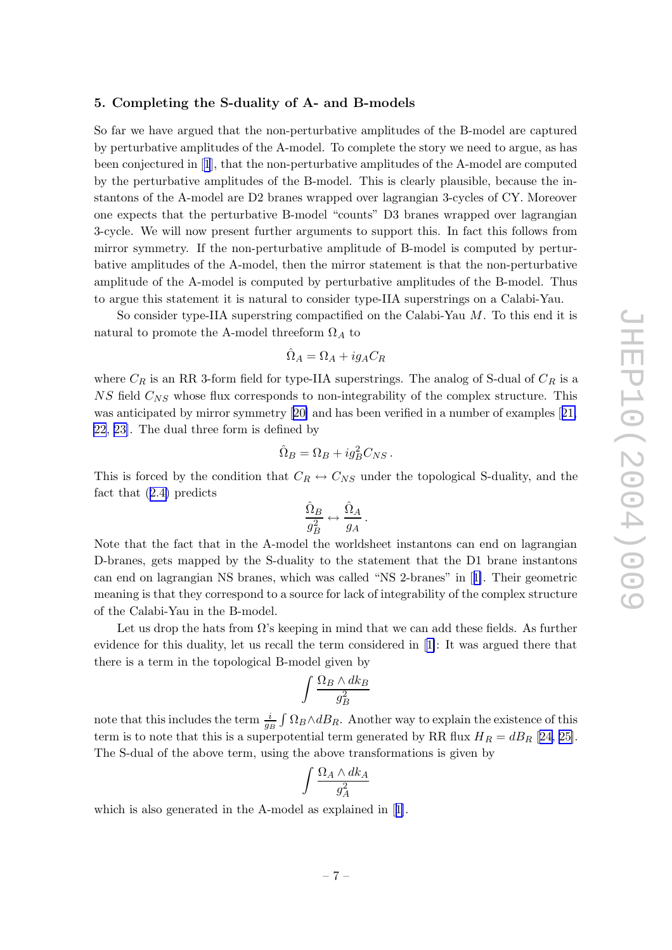## <span id="page-7-0"></span>5. Completing the S-dualit y of A- and B-models

So far w e hav e argued that the non-perturbativ e amplitudes of the B-model are captured b y perturbativ e amplitudes of the A-model. To complete the story w e need to argue, as has been conjectured in [[1](#page-9-0)], that the non-perturbativ e amplitudes of the A-model are computed b y the perturbativ e amplitudes of the B-model. This is clearly plausible, because the instantons of the A-model are D2 branes wrapped over lagrangian 3-cycles of CY. Moreover one expects that the perturbativ e B-model "counts" D3 branes wrapped o ver lagrangian 3-cycle. We will no w presen t further arguments to support this. In fact this follows from mirror symmetry. If the non-perturbative amplitude of B-model is computed by perturbative amplitudes of the A-model, then the mirror statement is that the non-perturbative amplitude of the A-model is computed b y perturbativ e amplitudes of the B-model. Thus to argue this statemen t it is natural to consider type-IIA superstrings on a Calabi-Yau.

So consider type-IIA superstring compactified on the Calabi-Yau M. To this end it is natural to promote the A-model threeform  $\Omega_A$  to

$$
\hat{\Omega}_A = \Omega_A + ig_A C_R
$$

where  $C_R$  is an RR 3-form field for type-IIA superstrings. The analog of S-dual of  $C_R$  is a  $NS$  field  $C_{NS}$  whose flux corresponds to non-integrability of the complex structure. This was anticipated by mirror symmetry [[20](#page-10-0)] and has been verified in a number of examples [[21](#page-10-0), [22](#page-10-0) , [23\]](#page-10-0). The dual three form is defined b y

$$
\hat{\Omega}_B = \Omega_B + ig_B^2 C_{NS} \, .
$$

This is forced by the condition that  $C_R \leftrightarrow C_{NS}$  under the topological S-duality, and the fact that ([2.4](#page-3-0) ) predicts

$$
\frac{\hat{\Omega}_B}{g_B^2} \leftrightarrow \frac{\hat{\Omega}_A}{g_A}\,.
$$

Note that the fact that in the A-model the worldsheet instantons can end on lagrangian D-branes, gets mapped b y the S-dualit y to the statemen t that the D1 brane instantons can end on lagrangian NS branes, whic h was called "NS 2-branes" in [[1\]](#page-9-0). Their geometric meaning is that they correspond to a source for lack of integrability of the complex structure of the Calabi-Yau in the B-model.

Let us drop the hats from  $\Omega$ 's keeping in mind that we can add these fields. As further evidence for this dualit y , let us recall the term considered in [[1\]](#page-9-0): It was argued there that there is a term in the topological B-model given b y

$$
\int \frac{\Omega_B \wedge dk_B}{g_B^2}
$$

note that this includes the term  $\frac{i}{g_B} \int \Omega_B \wedge dB_R$ . Another way to explain the existence of this term is to note that this is a superpotential term generated by RR flux  $H_R = dB_R$  [[24](#page-10-0), [25\]](#page-10-0). The S-dual of the above term, using the above transformations is given by

$$
\int \frac{\Omega_A \wedge dk_A}{g_A^2}
$$

whic h is also generated in the A-model as explained in [[1\]](#page-9-0).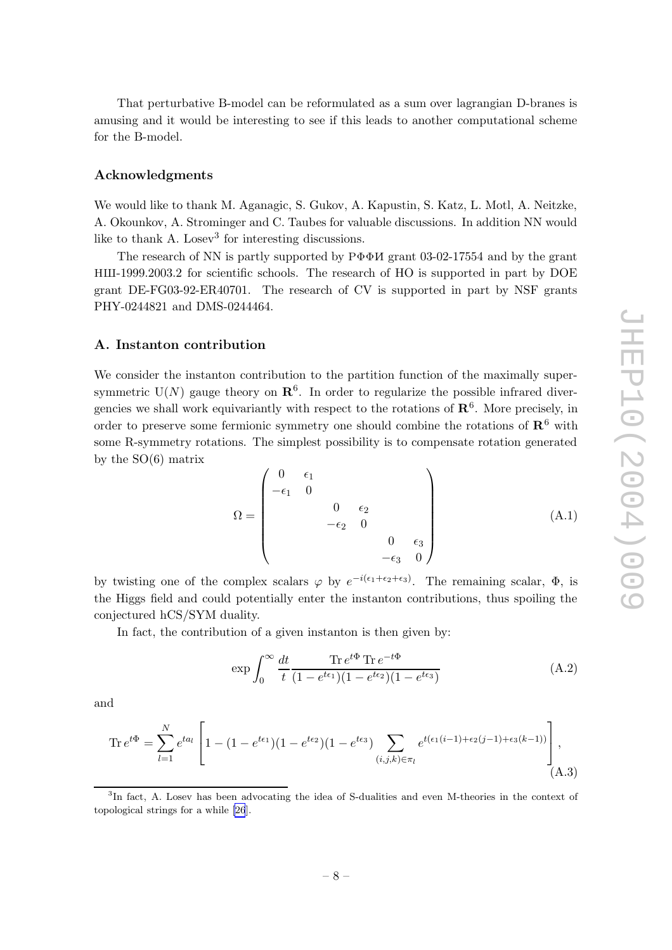<span id="page-8-0"></span>That perturbativ e B-model can b e reformulated as a sum o ver lagrangian D-branes is amusing and it would b e interesting to see if this leads to another computational scheme for the B-model.

#### Acknowledgments

We would like to thank M. Aganagic, S. Guk ov, A. Kapustin, S. Katz, L. Motl, A. Neitzke, A. Okounk ov, A. Strominger and C. Taubes for valuable discussions. In addition NN would like to thank A. Losev<sup>3</sup> for interesting discussions.

The research of NN is partly supported by  $P\Phi\Phi M$  grant 03-02-17554 and by the grant HIII-1999.2003.2 for scientific schools. The research of HO is supported in part by DOE gran t DE-FG03-92-ER40701. The researc h of CV is supported in part b y NSF grants PHY-0244821 and DMS-0244464.

#### A. Instanton contribution

We consider the instanton contribution to the partition function of the maximally supersymmetric  $U(N)$  gauge theory on  $\mathbb{R}^6$ . In order to regularize the possible infrared divergencies we shall work equivariantly with respect to the rotations of  $\mathbb{R}^6$ . More precisely, in order to preserve some fermionic symmetry one should combine the rotations of  $\mathbb{R}^6$  with some R-symmetry rotations. The simplest possibility is to compensate rotation generated b y the SO(6) matrix

$$
\Omega = \begin{pmatrix}\n0 & \epsilon_1 & & & & \\
-\epsilon_1 & 0 & & & & \\
 & & 0 & \epsilon_2 & \\
 & & -\epsilon_2 & 0 & \\
 & & & & 0 & \epsilon_3 \\
 & & & & -\epsilon_3 & 0\n\end{pmatrix}
$$
\n(A.1)

by twisting one of the complex scalars  $\varphi$  by  $e^{-i(\epsilon_1+\epsilon_2+\epsilon_3)}$ . The remaining scalar,  $\Phi$ , is the Higgs field and could potentially enter the instanton contributions, thus spoiling the conjectured hCS/SYM dualit y .

In fact, the contribution of a given instanton is then given by:

$$
\exp \int_0^\infty \frac{dt}{t} \frac{\text{Tr } e^{t\Phi} \text{Tr } e^{-t\Phi}}{(1 - e^{t\epsilon_1})(1 - e^{t\epsilon_2})(1 - e^{t\epsilon_3})} \tag{A.2}
$$

and

$$
\operatorname{Tr} e^{t\Phi} = \sum_{l=1}^{N} e^{ta_l} \left[ 1 - (1 - e^{t\epsilon_1})(1 - e^{t\epsilon_2})(1 - e^{t\epsilon_3}) \sum_{(i,j,k) \in \pi_l} e^{t(\epsilon_1(i-1) + \epsilon_2(j-1) + \epsilon_3(k-1))} \right],
$$
\n(A.3)

<sup>&</sup>lt;sup>3</sup>In fact, A. Losev has been advocating the idea of S-dualities and even M-theories in the context of topological strings for a while [\[26](#page-10-0)].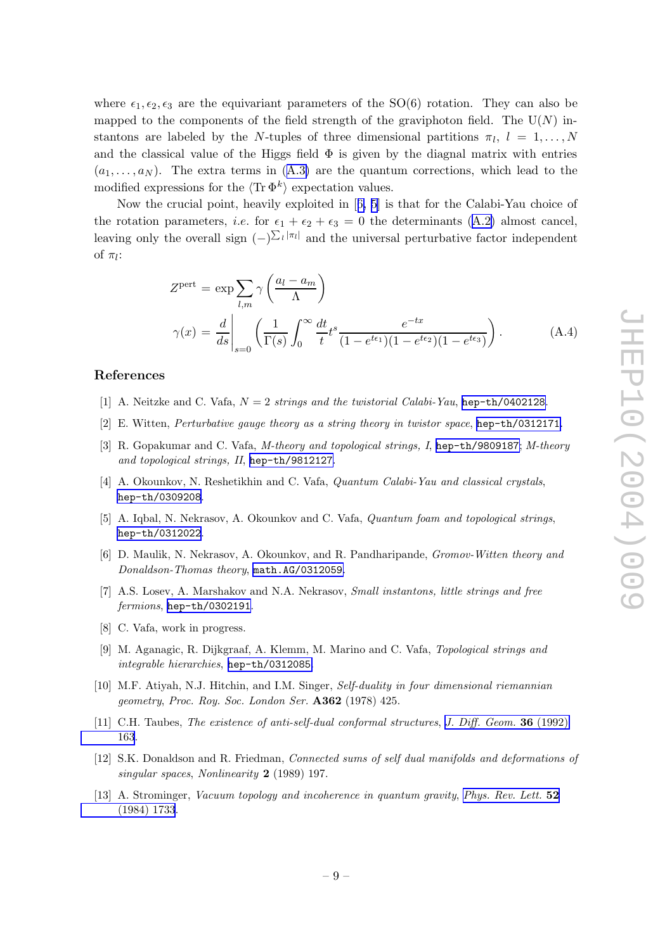<span id="page-9-0"></span>where  $\epsilon_1, \epsilon_2, \epsilon_3$  are the equivariant parameters of the SO(6) rotation. They can also be mapped to the components of the field strength of the graviphoton field. The  $U(N)$  instantons are labeled by the N-tuples of three dimensional partitions  $\pi_l$ ,  $l = 1, \ldots, N$ and the classical value of the Higgs field  $\Phi$  is given by the diagnal matrix with entries  $(a_1, \ldots, a_N)$ . The extra terms in ([A.3](#page-8-0)) are the quantum corrections, which lead to the modified expressions for the  $\langle \text{Tr } \Phi^k \rangle$  expectation values.

Now the crucial point, heavily exploited in [6, 5] is that for the Calabi-Yau choice of the rotation parameters, *i.e.* for  $\epsilon_1 + \epsilon_2 + \epsilon_3 = 0$  the determinants [\(A.2](#page-8-0)) almost cancel, leaving only the overall sign  $(-)^{\sum_l |\pi_l|}$  and the universal perturbative factor independent of  $\pi_l$ :

$$
Z^{\text{pert}} = \exp \sum_{l,m} \gamma \left( \frac{a_l - a_m}{\Lambda} \right)
$$

$$
\gamma(x) = \frac{d}{ds} \bigg|_{s=0} \left( \frac{1}{\Gamma(s)} \int_0^\infty \frac{dt}{t} t^s \frac{e^{-tx}}{(1 - e^{t\epsilon_1})(1 - e^{t\epsilon_2})(1 - e^{t\epsilon_3})} \right). \tag{A.4}
$$

#### References

- [1] A. Neitzke and C. Vafa,  $N = 2$  strings and the twistorial Calabi-Yau, [hep-th/0402128](http://xxx.lanl.gov/abs/hep-th/0402128).
- [2] E. Witten, Perturbative gauge theory as a string theory in twistor space, [hep-th/0312171](http://xxx.lanl.gov/abs/hep-th/0312171).
- [3] R. Gopakumar and C. Vafa, M-theory and topological strings, I, [hep-th/9809187](http://xxx.lanl.gov/abs/hep-th/9809187); M-theory and topological strings, II, [hep-th/9812127](http://xxx.lanl.gov/abs/hep-th/9812127) .
- [4] A. Okounkov, N. Reshetikhin and C. Vafa, *Quantum Calabi-Yau and classical crystals*, [hep-th/0309208](http://xxx.lanl.gov/abs/hep-th/0309208) .
- [5] A. Iqbal, N. Nekrasov, A. Okounkov and C. Vafa, *Quantum foam and topological strings*, [hep-th/0312022](http://xxx.lanl.gov/abs/hep-th/0312022) .
- [6] D. Maulik, N. Nekrasov, A. Okounkov, and R. Pandharipande, *Gromov-Witten theory and* Donaldson-Thomas theory , [math.AG/0312059](http://xxx.lanl.gov/abs/math.AG/0312059) .
- [7] A.S. Losev, A. Marshakov and N.A. Nekrasov, *Small instantons, little strings and free* fermions, [hep-th/0302191](http://xxx.lanl.gov/abs/hep-th/0302191).
- [8] C. Vafa, work in progress.
- [9] M. Aganagic, R. Dijkgraaf, A. Klemm, M. Marino and C. Vafa, Topological strings and integrable hierarchies , [hep-th/0312085](http://xxx.lanl.gov/abs/hep-th/0312085) .
- [10] M.F. Atiyah, N.J. Hitchin, and I.M. Singer, Self-duality in four dimensional riemannian geometry, Proc. Roy. Soc. London Ser. **A362** (1978) 425.
- [11] C.H. Taubes, The existence of anti-self-dual conformal structures, J. Diff. [Geom.](http://www-spires.slac.stanford.edu/spires/find/hep/www?j=JDGEA%2C36%2C163) 36 (1992) [163](http://www-spires.slac.stanford.edu/spires/find/hep/www?j=JDGEA%2C36%2C163) .
- [12] S.K. Donaldson and R. Friedman, Connected sums of self dual manifolds and deformations of singular spaces, Nonlinearity 2 (1989) 197.
- [13] A. Strominger, Vacuum topology and incoherence in quantum gravity, [Phys.](http://www-spires.slac.stanford.edu/spires/find/hep/www?j=PRLTA%2C52%2C1733) Rev. Lett. 52 [\(1984\)](http://www-spires.slac.stanford.edu/spires/find/hep/www?j=PRLTA%2C52%2C1733) 1733 .